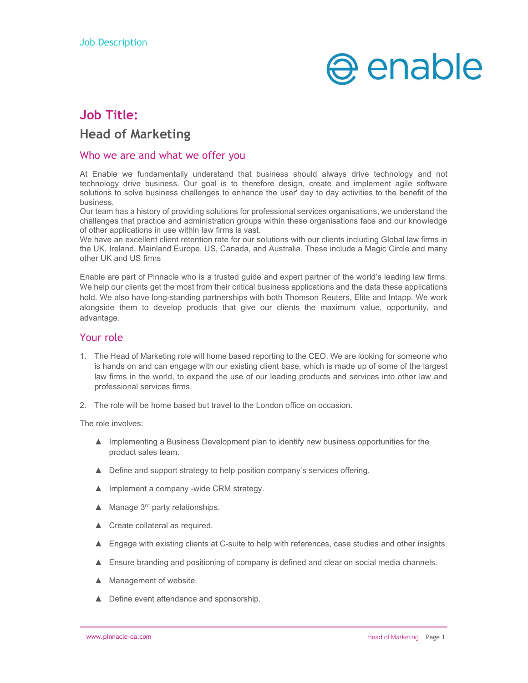

# Job Title: Head of Marketing

#### Who we are and what we offer you

At Enable we fundamentally understand that business should always drive technology and not technology drive business. Our goal is to therefore design, create and implement agile software solutions to solve business challenges to enhance the user' day to day activities to the benefit of the business.

Our team has a history of providing solutions for professional services organisations, we understand the challenges that practice and administration groups within these organisations face and our knowledge of other applications in use within law firms is vast.

We have an excellent client retention rate for our solutions with our clients including Global law firms in the UK, Ireland, Mainland Europe, US, Canada, and Australia. These include a Magic Circle and many other UK and US firms

Enable are part of Pinnacle who is a trusted guide and expert partner of the world's leading law firms. We help our clients get the most from their critical business applications and the data these applications hold. We also have long-standing partnerships with both Thomson Reuters, Elite and Intapp. We work alongside them to develop products that give our clients the maximum value, opportunity, and advantage.

## Your role

- 1. The Head of Marketing role will home based reporting to the CEO. We are looking for someone who is hands on and can engage with our existing client base, which is made up of some of the largest law firms in the world, to expand the use of our leading products and services into other law and professional services firms.
- 2. The role will be home based but travel to the London office on occasion.

The role involves:

- ▲ Implementing a Business Development plan to identify new business opportunities for the product sales team.
- ▲ Define and support strategy to help position company's services offering.
- ▲ Implement a company -wide CRM strategy.
- ▲ Manage 3<sup>rd</sup> party relationships.
- ▲ Create collateral as required.
- ▲ Engage with existing clients at C-suite to help with references, case studies and other insights.
- ▲ Ensure branding and positioning of company is defined and clear on social media channels.
- ▲ Management of website.
- ▲ Define event attendance and sponsorship.